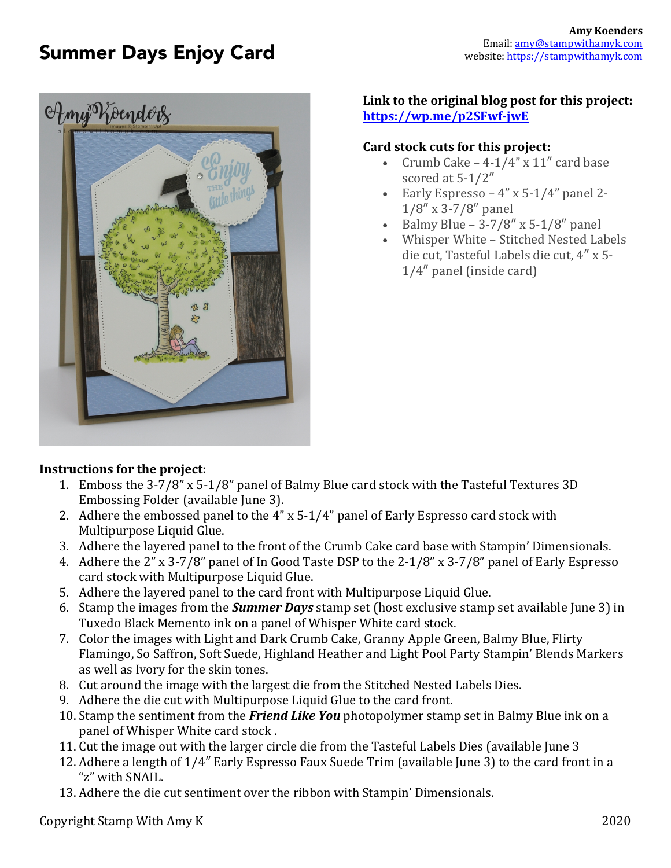# Summer Days Enjoy Card



## **Link to the original blog post for this project: https://wp.me/p2SFwf-jwE**

#### **Card stock cuts for this project:**

- Crumb Cake  $-4-1/4$ " x  $11$ " card base scored at  $5-1/2''$
- Early Espresso  $4$ " x 5-1/4" panel 2- $1/8'' \times 3-7/8''$  panel
- Balmy Blue  $3-7/8''$  x 5-1/8" panel
- Whisper White Stitched Nested Labels die cut, Tasteful Labels die cut, 4" x 5- $1/4$ " panel (inside card)

#### **Instructions for the project:**

- 1. Emboss the 3-7/8" x 5-1/8" panel of Balmy Blue card stock with the Tasteful Textures 3D Embossing Folder (available June 3).
- 2. Adhere the embossed panel to the  $4$ " x 5-1/4" panel of Early Espresso card stock with Multipurpose Liquid Glue.
- 3. Adhere the layered panel to the front of the Crumb Cake card base with Stampin' Dimensionals.
- 4. Adhere the 2" x 3-7/8" panel of In Good Taste DSP to the 2-1/8" x 3-7/8" panel of Early Espresso card stock with Multipurpose Liquid Glue.
- 5. Adhere the layered panel to the card front with Multipurpose Liquid Glue.
- 6. Stamp the images from the **Summer Days** stamp set (host exclusive stamp set available June 3) in Tuxedo Black Memento ink on a panel of Whisper White card stock.
- 7. Color the images with Light and Dark Crumb Cake, Granny Apple Green, Balmy Blue, Flirty Flamingo, So Saffron, Soft Suede, Highland Heather and Light Pool Party Stampin' Blends Markers as well as Ivory for the skin tones.
- 8. Cut around the image with the largest die from the Stitched Nested Labels Dies.
- 9. Adhere the die cut with Multipurpose Liquid Glue to the card front.
- 10. Stamp the sentiment from the *Friend Like You* photopolymer stamp set in Balmy Blue ink on a panel of Whisper White card stock.
- 11. Cut the image out with the larger circle die from the Tasteful Labels Dies (available June 3
- 12. Adhere a length of 1/4" Early Espresso Faux Suede Trim (available June 3) to the card front in a "z" with SNAIL.
- 13. Adhere the die cut sentiment over the ribbon with Stampin' Dimensionals.

Copyright Stamp With Amy K 2020